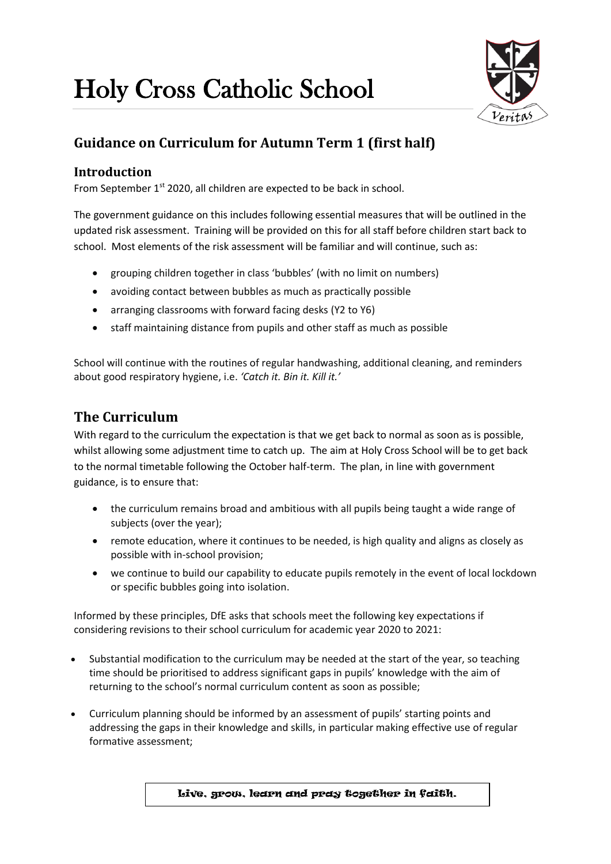# Holy Cross Catholic School



# **Guidance on Curriculum for Autumn Term 1 (first half)**

## **Introduction**

From September  $1<sup>st</sup>$  2020, all children are expected to be back in school.

The government guidance on this includes following essential measures that will be outlined in the updated risk assessment. Training will be provided on this for all staff before children start back to school. Most elements of the risk assessment will be familiar and will continue, such as:

- grouping children together in class 'bubbles' (with no limit on numbers)
- avoiding contact between bubbles as much as practically possible
- arranging classrooms with forward facing desks (Y2 to Y6)
- staff maintaining distance from pupils and other staff as much as possible

School will continue with the routines of regular handwashing, additional cleaning, and reminders about good respiratory hygiene, i.e. *'Catch it. Bin it. Kill it.'*

# **The Curriculum**

With regard to the curriculum the expectation is that we get back to normal as soon as is possible, whilst allowing some adjustment time to catch up. The aim at Holy Cross School will be to get back to the normal timetable following the October half-term. The plan, in line with government guidance, is to ensure that:

- the curriculum remains broad and ambitious with all pupils being taught a wide range of subjects (over the year);
- remote education, where it continues to be needed, is high quality and aligns as closely as possible with in-school provision;
- we continue to build our capability to educate pupils remotely in the event of local lockdown or specific bubbles going into isolation.

Informed by these principles, DfE asks that schools meet the following key expectations if considering revisions to their school curriculum for academic year 2020 to 2021:

- Substantial modification to the curriculum may be needed at the start of the year, so teaching time should be prioritised to address significant gaps in pupils' knowledge with the aim of returning to the school's normal curriculum content as soon as possible;
- Curriculum planning should be informed by an assessment of pupils' starting points and addressing the gaps in their knowledge and skills, in particular making effective use of regular formative assessment;

Live, grow, learn and pray together in faith.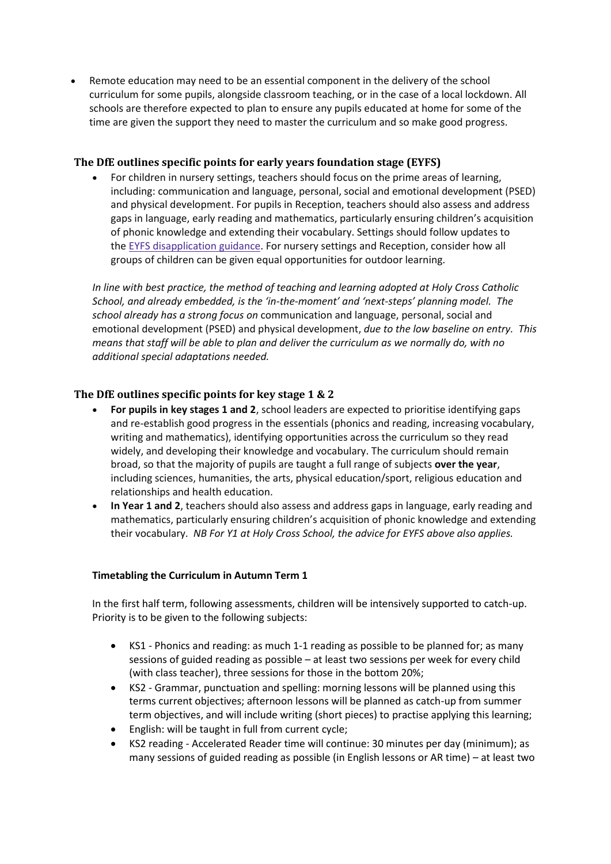Remote education may need to be an essential component in the delivery of the school curriculum for some pupils, alongside classroom teaching, or in the case of a local lockdown. All schools are therefore expected to plan to ensure any pupils educated at home for some of the time are given the support they need to master the curriculum and so make good progress.

### **The DfE outlines specific points for early years foundation stage (EYFS)**

 For children in nursery settings, teachers should focus on the prime areas of learning, including: communication and language, personal, social and emotional development (PSED) and physical development. For pupils in Reception, teachers should also assess and address gaps in language, early reading and mathematics, particularly ensuring children's acquisition of phonic knowledge and extending their vocabulary. Settings should follow updates to the EYFS [disapplication](https://www.gov.uk/government/publications/early-years-foundation-stage-framework--2/early-years-foundation-stage-coronavirus-disapplications) guidance. For nursery settings and Reception, consider how all groups of children can be given equal opportunities for outdoor learning.

*In line with best practice, the method of teaching and learning adopted at Holy Cross Catholic School, and already embedded, is the 'in-the-moment' and 'next-steps' planning model. The school already has a strong focus on* communication and language, personal, social and emotional development (PSED) and physical development, *due to the low baseline on entry. This means that staff will be able to plan and deliver the curriculum as we normally do, with no additional special adaptations needed.* 

#### **The DfE outlines specific points for key stage 1 & 2**

- **For pupils in key stages 1 and 2**, school leaders are expected to prioritise identifying gaps and re-establish good progress in the essentials (phonics and reading, increasing vocabulary, writing and mathematics), identifying opportunities across the curriculum so they read widely, and developing their knowledge and vocabulary. The curriculum should remain broad, so that the majority of pupils are taught a full range of subjects **over the year**, including sciences, humanities, the arts, physical education/sport, religious education and relationships and health education.
- **In Year 1 and 2**, teachers should also assess and address gaps in language, early reading and mathematics, particularly ensuring children's acquisition of phonic knowledge and extending their vocabulary. *NB For Y1 at Holy Cross School, the advice for EYFS above also applies.*

#### **Timetabling the Curriculum in Autumn Term 1**

In the first half term, following assessments, children will be intensively supported to catch-up. Priority is to be given to the following subjects:

- KS1 Phonics and reading: as much 1-1 reading as possible to be planned for; as many sessions of guided reading as possible – at least two sessions per week for every child (with class teacher), three sessions for those in the bottom 20%;
- KS2 Grammar, punctuation and spelling: morning lessons will be planned using this terms current objectives; afternoon lessons will be planned as catch-up from summer term objectives, and will include writing (short pieces) to practise applying this learning;
- English: will be taught in full from current cycle;
- KS2 reading Accelerated Reader time will continue: 30 minutes per day (minimum); as many sessions of guided reading as possible (in English lessons or AR time) – at least two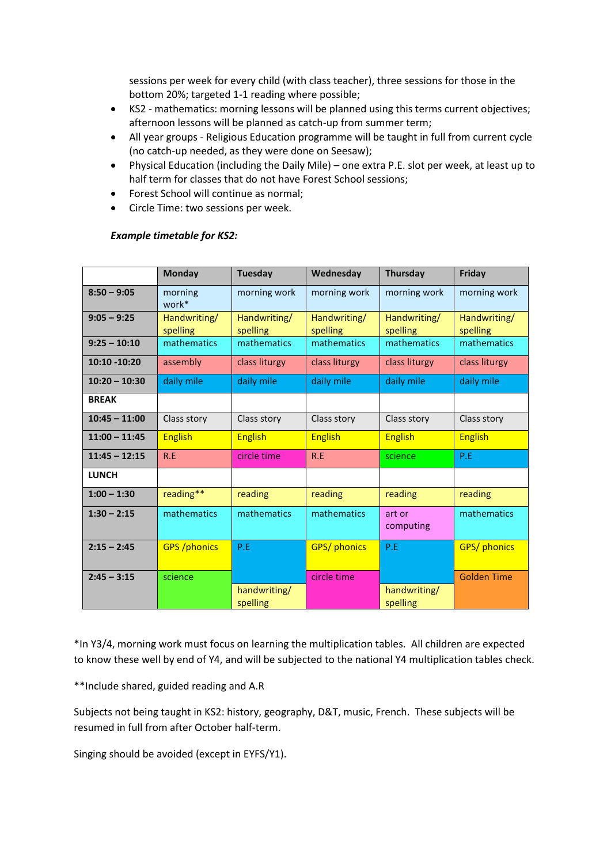sessions per week for every child (with class teacher), three sessions for those in the bottom 20%; targeted 1-1 reading where possible;

- KS2 mathematics: morning lessons will be planned using this terms current objectives; afternoon lessons will be planned as catch-up from summer term;
- All year groups Religious Education programme will be taught in full from current cycle (no catch-up needed, as they were done on Seesaw);
- Physical Education (including the Daily Mile) one extra P.E. slot per week, at least up to half term for classes that do not have Forest School sessions;
- Forest School will continue as normal;
- Circle Time: two sessions per week.

#### *Example timetable for KS2:*

|                 | Monday                   | <b>Tuesday</b>           | Wednesday                | <b>Thursday</b>          | Friday                   |
|-----------------|--------------------------|--------------------------|--------------------------|--------------------------|--------------------------|
| $8:50 - 9:05$   | morning<br>work*         | morning work             | morning work             | morning work             | morning work             |
| $9:05 - 9:25$   | Handwriting/<br>spelling | Handwriting/<br>spelling | Handwriting/<br>spelling | Handwriting/<br>spelling | Handwriting/<br>spelling |
| $9:25 - 10:10$  | mathematics              | mathematics              | mathematics              | mathematics              | mathematics              |
| $10:10 - 10:20$ | assembly                 | class liturgy            | class liturgy            | class liturgy            | class liturgy            |
| $10:20 - 10:30$ | daily mile               | daily mile               | daily mile               | daily mile               | daily mile               |
| <b>BREAK</b>    |                          |                          |                          |                          |                          |
| $10:45 - 11:00$ | Class story              | Class story              | Class story              | Class story              | Class story              |
| $11:00 - 11:45$ | <b>English</b>           | <b>English</b>           | <b>English</b>           | <b>English</b>           | <b>English</b>           |
| $11:45 - 12:15$ | R.E                      | circle time              | R.E                      | science                  | P.E                      |
| <b>LUNCH</b>    |                          |                          |                          |                          |                          |
| $1:00 - 1:30$   | reading**                | reading                  | reading                  | reading                  | reading                  |
| $1:30 - 2:15$   | mathematics              | mathematics              | mathematics              | art or<br>computing      | mathematics              |
| $2:15 - 2:45$   | <b>GPS</b> / phonics     | P.E                      | <b>GPS/ phonics</b>      | P.E                      | <b>GPS/phonics</b>       |
| $2:45 - 3:15$   | science                  |                          | circle time              |                          | <b>Golden Time</b>       |
|                 |                          | handwriting/<br>spelling |                          | handwriting/<br>spelling |                          |

\*In Y3/4, morning work must focus on learning the multiplication tables. All children are expected to know these well by end of Y4, and will be subjected to the national Y4 multiplication tables check.

\*\*Include shared, guided reading and A.R

Subjects not being taught in KS2: history, geography, D&T, music, French. These subjects will be resumed in full from after October half-term.

Singing should be avoided (except in EYFS/Y1).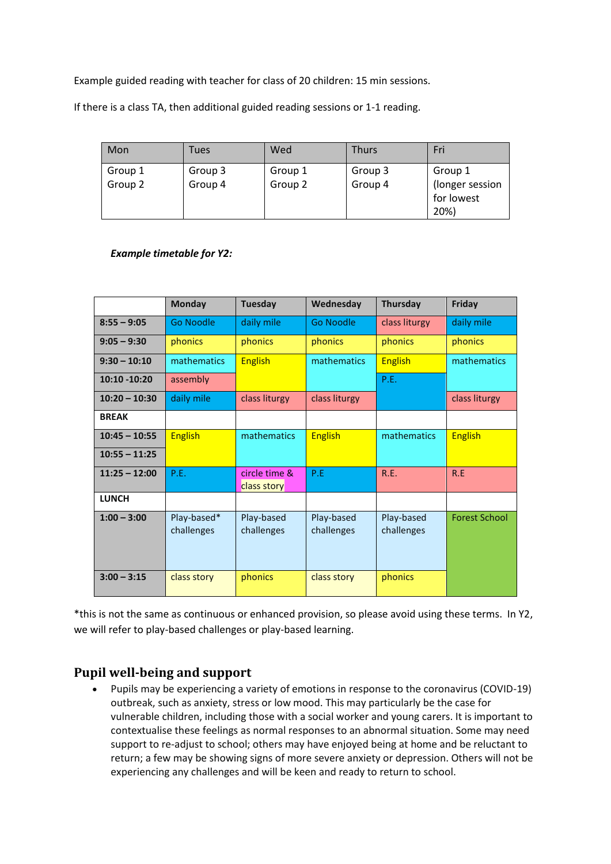Example guided reading with teacher for class of 20 children: 15 min sessions.

If there is a class TA, then additional guided reading sessions or 1-1 reading.

| Mon                | Tues               | Wed                | <b>Thurs</b>       | Fri                                              |
|--------------------|--------------------|--------------------|--------------------|--------------------------------------------------|
| Group 1<br>Group 2 | Group 3<br>Group 4 | Group 1<br>Group 2 | Group 3<br>Group 4 | Group 1<br>(longer session<br>for lowest<br>20%) |

#### *Example timetable for Y2:*

|                 | <b>Monday</b>             | <b>Tuesday</b>               | Wednesday                | <b>Thursday</b>          | <b>Friday</b>        |
|-----------------|---------------------------|------------------------------|--------------------------|--------------------------|----------------------|
| $8:55 - 9:05$   | Go Noodle                 | daily mile                   | Go Noodle                | class liturgy            | daily mile           |
| $9:05 - 9:30$   | phonics                   | phonics                      | phonics                  | phonics                  | phonics              |
| $9:30 - 10:10$  | mathematics               | <b>English</b>               | <b>mathematics</b>       | <b>English</b>           | mathematics          |
| 10:10 - 10:20   | assembly                  |                              |                          | P.E.                     |                      |
| $10:20 - 10:30$ | daily mile                | class liturgy                | class liturgy            |                          | class liturgy        |
| <b>BREAK</b>    |                           |                              |                          |                          |                      |
| $10:45 - 10:55$ | <b>English</b>            | <b>mathematics</b>           | <b>English</b>           | mathematics              | <b>English</b>       |
| $10:55 - 11:25$ |                           |                              |                          |                          |                      |
| $11:25 - 12:00$ | P.F.                      | circle time &<br>class story | P.E                      | R.E.                     | R.E                  |
| <b>LUNCH</b>    |                           |                              |                          |                          |                      |
| $1:00 - 3:00$   | Play-based*<br>challenges | Play-based<br>challenges     | Play-based<br>challenges | Play-based<br>challenges | <b>Forest School</b> |
| $3:00 - 3:15$   | class story               | phonics                      | class story              | phonics                  |                      |

\*this is not the same as continuous or enhanced provision, so please avoid using these terms. In Y2, we will refer to play-based challenges or play-based learning.

## **Pupil well-being and support**

 Pupils may be experiencing a variety of emotions in response to the coronavirus (COVID-19) outbreak, such as anxiety, stress or low mood. This may particularly be the case for vulnerable children, including those with a social worker and young carers. It is important to contextualise these feelings as normal responses to an abnormal situation. Some may need support to re-adjust to school; others may have enjoyed being at home and be reluctant to return; a few may be showing signs of more severe anxiety or depression. Others will not be experiencing any challenges and will be keen and ready to return to school.